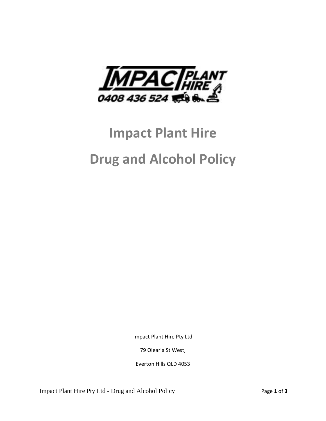

# **Impact Plant Hire Drug and Alcohol Policy**

Impact Plant Hire Pty Ltd

79 Olearia St West,

Everton Hills QLD 4053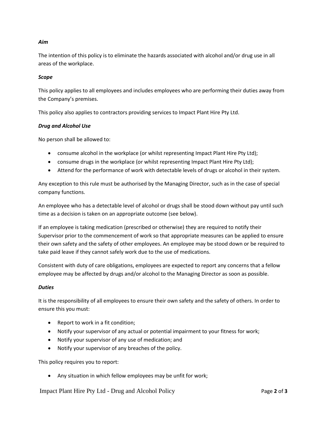# *Aim*

The intention of this policy is to eliminate the hazards associated with alcohol and/or drug use in all areas of the workplace.

## *Scope*

This policy applies to all employees and includes employees who are performing their duties away from the Company's premises.

This policy also applies to contractors providing services to Impact Plant Hire Pty Ltd.

## *Drug and Alcohol Use*

No person shall be allowed to:

- consume alcohol in the workplace (or whilst representing Impact Plant Hire Pty Ltd);
- consume drugs in the workplace (or whilst representing Impact Plant Hire Pty Ltd);
- Attend for the performance of work with detectable levels of drugs or alcohol in their system.

Any exception to this rule must be authorised by the Managing Director, such as in the case of special company functions.

An employee who has a detectable level of alcohol or drugs shall be stood down without pay until such time as a decision is taken on an appropriate outcome (see below).

If an employee is taking medication (prescribed or otherwise) they are required to notify their Supervisor prior to the commencement of work so that appropriate measures can be applied to ensure their own safety and the safety of other employees. An employee may be stood down or be required to take paid leave if they cannot safely work due to the use of medications.

Consistent with duty of care obligations, employees are expected to report any concerns that a fellow employee may be affected by drugs and/or alcohol to the Managing Director as soon as possible.

#### *Duties*

It is the responsibility of all employees to ensure their own safety and the safety of others. In order to ensure this you must:

- Report to work in a fit condition;
- Notify your supervisor of any actual or potential impairment to your fitness for work;
- Notify your supervisor of any use of medication; and
- Notify your supervisor of any breaches of the policy.

This policy requires you to report:

Any situation in which fellow employees may be unfit for work;

Impact Plant Hire Pty Ltd - Drug and Alcohol Policy Page **2** of **3**